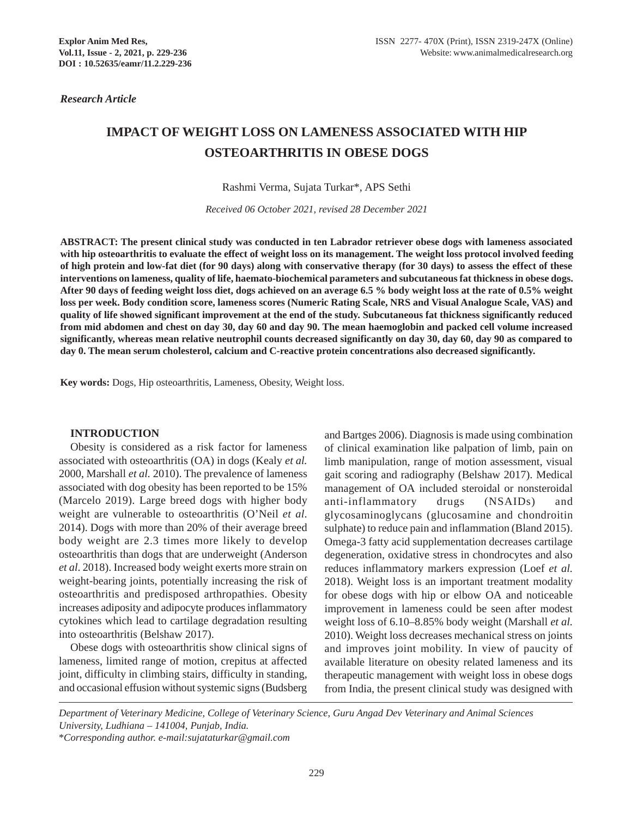*Research Article*

# **IMPACT OF WEIGHT LOSS ON LAMENESS ASSOCIATED WITH HIP OSTEOARTHRITIS IN OBESE DOGS**

Rashmi Verma, Sujata Turkar\*, APS Sethi

*Received 06 October 2021, revised 28 December 2021*

**ABSTRACT: The present clinical study was conducted in ten Labrador retriever obese dogs with lameness associated with hip osteoarthritis to evaluate the effect of weight loss on its management. The weight loss protocol involved feeding of high protein and low-fat diet (for 90 days) along with conservative therapy (for 30 days) to assess the effect of these interventions on lameness, quality of life, haemato-biochemical parameters and subcutaneous fat thickness in obese dogs. After 90 days of feeding weight loss diet, dogs achieved on an average 6.5 % body weight loss at the rate of 0.5% weight loss per week. Body condition score, lameness scores (Numeric Rating Scale, NRS and Visual Analogue Scale, VAS) and quality of life showed significant improvement at the end of the study. Subcutaneous fat thickness significantly reduced from mid abdomen and chest on day 30, day 60 and day 90. The mean haemoglobin and packed cell volume increased significantly, whereas mean relative neutrophil counts decreased significantly on day 30, day 60, day 90 as compared to day 0. The mean serum cholesterol, calcium and C-reactive protein concentrations also decreased significantly.**

**Key words:** Dogs, Hip osteoarthritis, Lameness, Obesity, Weight loss.

#### **INTRODUCTION**

Obesity is considered as a risk factor for lameness associated with osteoarthritis (OA) in dogs (Kealy *et al.* 2000, Marshall *et al.* 2010). The prevalence of lameness associated with dog obesity has been reported to be 15% (Marcelo 2019). Large breed dogs with higher body weight are vulnerable to osteoarthritis (O'Neil *et al*. 2014). Dogs with more than 20% of their average breed body weight are 2.3 times more likely to develop osteoarthritis than dogs that are underweight (Anderson *et al*. 2018). Increased body weight exerts more strain on weight-bearing joints, potentially increasing the risk of osteoarthritis and predisposed arthropathies. Obesity increases adiposity and adipocyte produces inflammatory cytokines which lead to cartilage degradation resulting into osteoarthritis (Belshaw 2017).

Obese dogs with osteoarthritis show clinical signs of lameness, limited range of motion, crepitus at affected joint, difficulty in climbing stairs, difficulty in standing, and occasional effusion without systemic signs (Budsberg

and Bartges 2006). Diagnosis is made using combination of clinical examination like palpation of limb, pain on limb manipulation, range of motion assessment, visual gait scoring and radiography (Belshaw 2017). Medical management of OA included steroidal or nonsteroidal anti-inflammatory drugs (NSAIDs) and glycosaminoglycans (glucosamine and chondroitin sulphate) to reduce pain and inflammation (Bland 2015). Omega-3 fatty acid supplementation decreases cartilage degeneration, oxidative stress in chondrocytes and also reduces inflammatory markers expression (Loef *et al.* 2018). Weight loss is an important treatment modality for obese dogs with hip or elbow OA and noticeable improvement in lameness could be seen after modest weight loss of 6.10–8.85% body weight (Marshall *et al.* 2010). Weight loss decreases mechanical stress on joints and improves joint mobility. In view of paucity of available literature on obesity related lameness and its therapeutic management with weight loss in obese dogs from India, the present clinical study was designed with

*Department of Veterinary Medicine, College of Veterinary Science, Guru Angad Dev Veterinary and Animal Sciences University, Ludhiana – 141004, Punjab, India.*

<sup>\*</sup>*Corresponding author. e-mail:sujataturkar@gmail.com*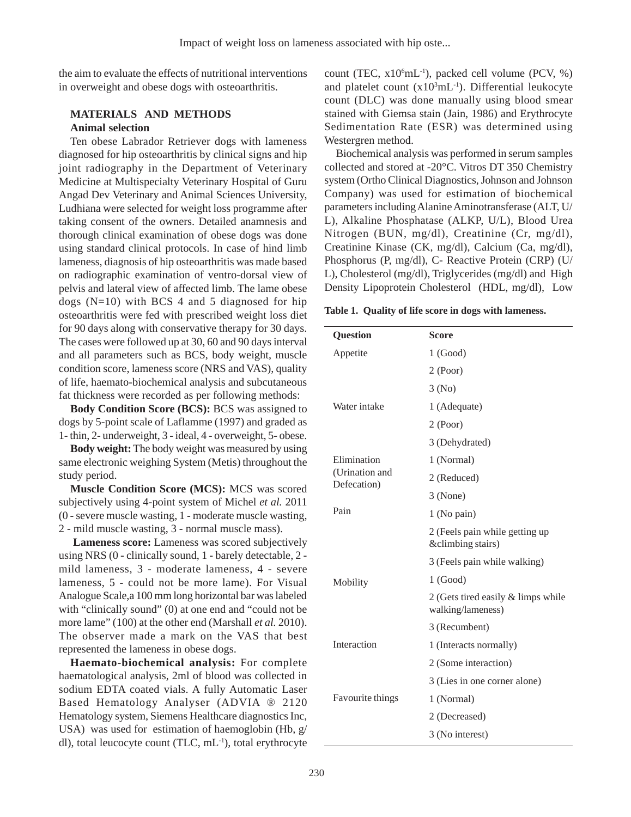the aim to evaluate the effects of nutritional interventions in overweight and obese dogs with osteoarthritis.

# **MATERIALS AND METHODS Animal selection**

Ten obese Labrador Retriever dogs with lameness diagnosed for hip osteoarthritis by clinical signs and hip joint radiography in the Department of Veterinary Medicine at Multispecialty Veterinary Hospital of Guru Angad Dev Veterinary and Animal Sciences University, Ludhiana were selected for weight loss programme after taking consent of the owners. Detailed anamnesis and thorough clinical examination of obese dogs was done using standard clinical protocols. In case of hind limb lameness, diagnosis of hip osteoarthritis was made based on radiographic examination of ventro-dorsal view of pelvis and lateral view of affected limb. The lame obese dogs  $(N=10)$  with BCS 4 and 5 diagnosed for hip osteoarthritis were fed with prescribed weight loss diet for 90 days along with conservative therapy for 30 days. The cases were followed up at 30, 60 and 90 days interval and all parameters such as BCS, body weight, muscle condition score, lameness score (NRS and VAS), quality of life, haemato-biochemical analysis and subcutaneous fat thickness were recorded as per following methods:

**Body Condition Score (BCS):** BCS was assigned to dogs by 5-point scale of Laflamme (1997) and graded as 1- thin, 2- underweight, 3 - ideal, 4 - overweight, 5- obese.

**Body weight:** The body weight was measured by using same electronic weighing System (Metis) throughout the study period.

**Muscle Condition Score (MCS):** MCS was scored subjectively using 4-point system of Michel *et al.* 2011 (0 - severe muscle wasting, 1 - moderate muscle wasting, 2 - mild muscle wasting, 3 - normal muscle mass).

 **Lameness score:** Lameness was scored subjectively using NRS (0 - clinically sound, 1 - barely detectable, 2 mild lameness, 3 - moderate lameness, 4 - severe lameness, 5 - could not be more lame). For Visual Analogue Scale,a 100 mm long horizontal bar was labeled with "clinically sound" (0) at one end and "could not be more lame" (100) at the other end (Marshall *et al.* 2010). The observer made a mark on the VAS that best represented the lameness in obese dogs.

**Haemato-biochemical analysis:** For complete haematological analysis, 2ml of blood was collected in sodium EDTA coated vials. A fully Automatic Laser Based Hematology Analyser (ADVIA ® 2120 Hematology system, Siemens Healthcare diagnostics Inc, USA) was used for estimation of haemoglobin (Hb, g/ dl), total leucocyte count (TLC, mL-1), total erythrocyte

count (TEC, x10<sup>6</sup>mL<sup>-1</sup>), packed cell volume (PCV, %) and platelet count  $(x10<sup>3</sup>m<sub>L</sub><sup>-1</sup>)$ . Differential leukocyte count (DLC) was done manually using blood smear stained with Giemsa stain (Jain, 1986) and Erythrocyte Sedimentation Rate (ESR) was determined using Westergren method.

Biochemical analysis was performed in serum samples collected and stored at -20°C. Vitros DT 350 Chemistry system (Ortho Clinical Diagnostics, Johnson and Johnson Company) was used for estimation of biochemical parameters including Alanine Aminotransferase (ALT, U/ L), Alkaline Phosphatase (ALKP, U/L), Blood Urea Nitrogen (BUN, mg/dl), Creatinine (Cr, mg/dl), Creatinine Kinase (CK, mg/dl), Calcium (Ca, mg/dl), Phosphorus (P, mg/dl), C- Reactive Protein (CRP) (U/ L), Cholesterol (mg/dl), Triglycerides (mg/dl) and High Density Lipoprotein Cholesterol (HDL, mg/dl), Low

**Table 1. Quality of life score in dogs with lameness.**

| <b>Question</b>               | Score                                                   |  |  |  |  |
|-------------------------------|---------------------------------------------------------|--|--|--|--|
| Appetite                      | 1(Good)                                                 |  |  |  |  |
|                               | $2$ (Poor)                                              |  |  |  |  |
|                               | 3(No)                                                   |  |  |  |  |
| Water intake                  | 1 (Adequate)                                            |  |  |  |  |
|                               | $2$ (Poor)                                              |  |  |  |  |
|                               | 3 (Dehydrated)                                          |  |  |  |  |
| Elimination                   | 1 (Normal)                                              |  |  |  |  |
| (Urination and<br>Defecation) | 2 (Reduced)                                             |  |  |  |  |
|                               | 3 (None)                                                |  |  |  |  |
| Pain                          | 1 (No pain)                                             |  |  |  |  |
|                               | 2 (Feels pain while getting up<br>&climbing stairs)     |  |  |  |  |
|                               | 3 (Feels pain while walking)                            |  |  |  |  |
| Mobility                      | 1(Good)                                                 |  |  |  |  |
|                               | 2 (Gets tired easily & limps while<br>walking/lameness) |  |  |  |  |
|                               | 3 (Recumbent)                                           |  |  |  |  |
| Interaction                   | 1 (Interacts normally)                                  |  |  |  |  |
|                               | 2 (Some interaction)                                    |  |  |  |  |
|                               | 3 (Lies in one corner alone)                            |  |  |  |  |
| Favourite things              | 1 (Normal)                                              |  |  |  |  |
|                               | 2 (Decreased)                                           |  |  |  |  |
|                               | 3 (No interest)                                         |  |  |  |  |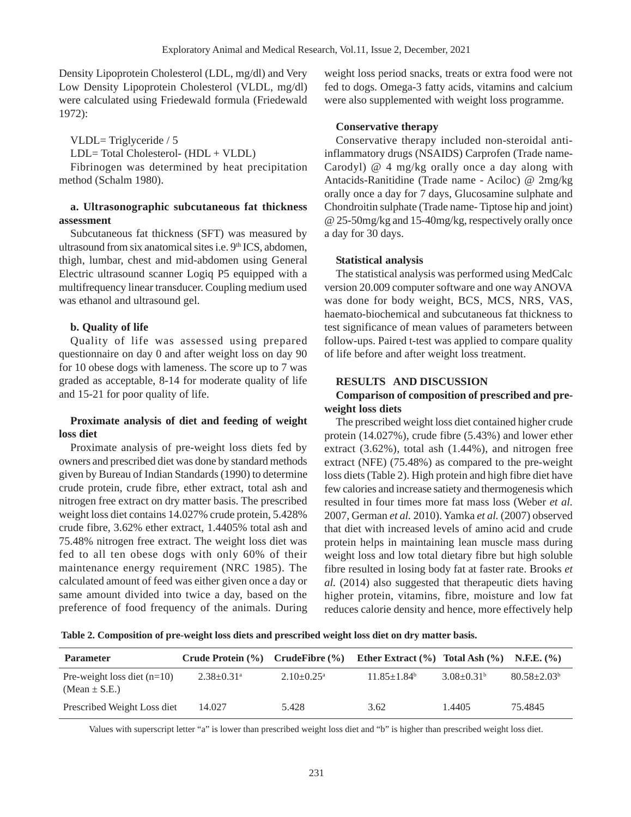Density Lipoprotein Cholesterol (LDL, mg/dl) and Very Low Density Lipoprotein Cholesterol (VLDL, mg/dl) were calculated using Friedewald formula (Friedewald 1972):

VLDL= Triglyceride / 5 LDL= Total Cholesterol- (HDL + VLDL) Fibrinogen was determined by heat precipitation method (Schalm 1980).

# **a. Ultrasonographic subcutaneous fat thickness assessment**

Subcutaneous fat thickness (SFT) was measured by ultrasound from six anatomical sites i.e.  $9<sup>th</sup> ICS$ , abdomen, thigh, lumbar, chest and mid-abdomen using General Electric ultrasound scanner Logiq P5 equipped with a multifrequency linear transducer. Coupling medium used was ethanol and ultrasound gel.

### **b. Quality of life**

Quality of life was assessed using prepared questionnaire on day 0 and after weight loss on day 90 for 10 obese dogs with lameness. The score up to 7 was graded as acceptable, 8-14 for moderate quality of life and 15-21 for poor quality of life.

## **Proximate analysis of diet and feeding of weight loss diet**

Proximate analysis of pre-weight loss diets fed by owners and prescribed diet was done by standard methods given by Bureau of Indian Standards (1990) to determine crude protein, crude fibre, ether extract, total ash and nitrogen free extract on dry matter basis. The prescribed weight loss diet contains 14.027% crude protein, 5.428% crude fibre, 3.62% ether extract, 1.4405% total ash and 75.48% nitrogen free extract. The weight loss diet was fed to all ten obese dogs with only 60% of their maintenance energy requirement (NRC 1985). The calculated amount of feed was either given once a day or same amount divided into twice a day, based on the preference of food frequency of the animals. During

weight loss period snacks, treats or extra food were not fed to dogs. Omega-3 fatty acids, vitamins and calcium were also supplemented with weight loss programme.

### **Conservative therapy**

Conservative therapy included non-steroidal antiinflammatory drugs (NSAIDS) Carprofen (Trade name-Carodyl) @ 4 mg/kg orally once a day along with Antacids-Ranitidine (Trade name - Aciloc) @ 2mg/kg orally once a day for 7 days, Glucosamine sulphate and Chondroitin sulphate (Trade name- Tiptose hip and joint) @ 25-50mg/kg and 15-40mg/kg, respectively orally once a day for 30 days.

#### **Statistical analysis**

The statistical analysis was performed using MedCalc version 20.009 computer software and one way ANOVA was done for body weight, BCS, MCS, NRS, VAS, haemato-biochemical and subcutaneous fat thickness to test significance of mean values of parameters between follow-ups. Paired t-test was applied to compare quality of life before and after weight loss treatment.

#### **RESULTS AND DISCUSSION**

## **Comparison of composition of prescribed and preweight loss diets**

The prescribed weight loss diet contained higher crude protein (14.027%), crude fibre (5.43%) and lower ether extract (3.62%), total ash (1.44%), and nitrogen free extract (NFE) (75.48%) as compared to the pre-weight loss diets (Table 2). High protein and high fibre diet have few calories and increase satiety and thermogenesis which resulted in four times more fat mass loss (Weber *et al.* 2007, German *et al.* 2010). Yamka *et al.* (2007) observed that diet with increased levels of amino acid and crude protein helps in maintaining lean muscle mass during weight loss and low total dietary fibre but high soluble fibre resulted in losing body fat at faster rate. Brooks *et al.* (2014) also suggested that therapeutic diets having higher protein, vitamins, fibre, moisture and low fat reduces calorie density and hence, more effectively help

**Table 2. Composition of pre-weight loss diets and prescribed weight loss diet on dry matter basis.**

| <b>Parameter</b>                                   | Crude Protein $(\% )$ Crude Fibre $(\% )$ |                              | Ether Extract $(\% )$ Total Ash $(\% )$ N.F.E. $(\% )$ |                   |                    |
|----------------------------------------------------|-------------------------------------------|------------------------------|--------------------------------------------------------|-------------------|--------------------|
| Pre-weight loss diet $(n=10)$<br>(Mean $\pm$ S.E.) | $2.38 \pm 0.31$ <sup>a</sup>              | $2.10 \pm 0.25$ <sup>a</sup> | $11.85 \pm 1.84^b$                                     | $3.08 \pm 0.31^b$ | $80.58 \pm 2.03^b$ |
| Prescribed Weight Loss diet                        | 14.027                                    | 5.428                        | 3.62                                                   | 1.4405            | 75.4845            |

Values with superscript letter "a" is lower than prescribed weight loss diet and "b" is higher than prescribed weight loss diet.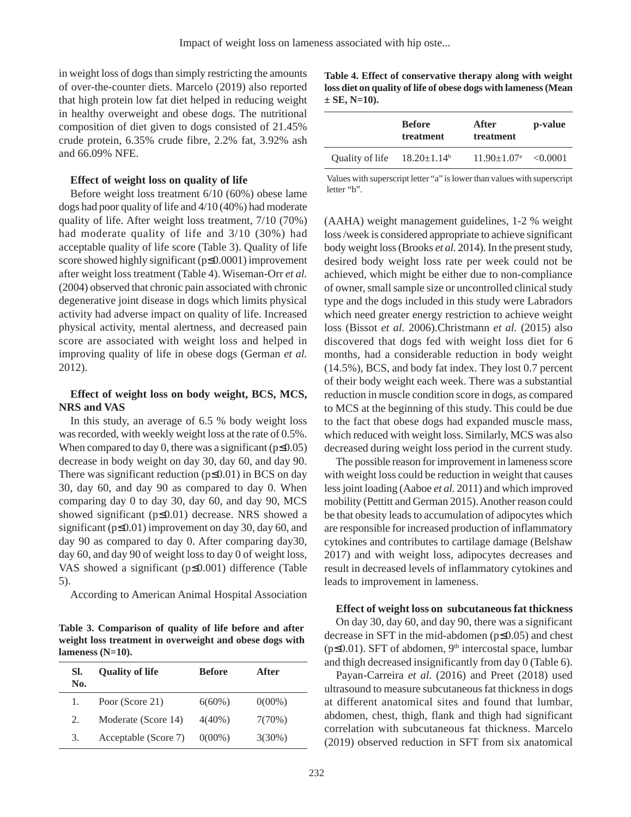in weight loss of dogs than simply restricting the amounts of over-the-counter diets. Marcelo (2019) also reported that high protein low fat diet helped in reducing weight in healthy overweight and obese dogs. The nutritional composition of diet given to dogs consisted of 21.45% crude protein, 6.35% crude fibre, 2.2% fat, 3.92% ash and 66.09% NFE.

### **Effect of weight loss on quality of life**

Before weight loss treatment 6/10 (60%) obese lame dogs had poor quality of life and 4/10 (40%) had moderate quality of life. After weight loss treatment, 7/10 (70%) had moderate quality of life and 3/10 (30%) had acceptable quality of life score (Table 3). Quality of life score showed highly significant (p≤0.0001) improvement after weight loss treatment (Table 4). Wiseman-Orr *et al.* (2004) observed that chronic pain associated with chronic degenerative joint disease in dogs which limits physical activity had adverse impact on quality of life. Increased physical activity, mental alertness, and decreased pain score are associated with weight loss and helped in improving quality of life in obese dogs (German *et al.* 2012).

# **Effect of weight loss on body weight, BCS, MCS, NRS and VAS**

In this study, an average of 6.5 % body weight loss was recorded, with weekly weight loss at the rate of 0.5%. When compared to day 0, there was a significant ( $p \le 0.05$ ) decrease in body weight on day 30, day 60, and day 90. There was significant reduction  $(p \le 0.01)$  in BCS on day 30, day 60, and day 90 as compared to day 0. When comparing day 0 to day 30, day 60, and day 90, MCS showed significant (p≤0.01) decrease. NRS showed a significant (p≤0.01) improvement on day 30, day 60, and day 90 as compared to day 0. After comparing day30, day 60, and day 90 of weight loss to day 0 of weight loss, VAS showed a significant (p≤0.001) difference (Table 5).

According to American Animal Hospital Association

**Table 3. Comparison of quality of life before and after weight loss treatment in overweight and obese dogs with lameness (N=10).**

| SI.<br>No. | <b>Quality of life</b> | <b>Before</b> | After     |
|------------|------------------------|---------------|-----------|
| 1.         | Poor (Score 21)        | $6(60\%)$     | $0(00\%)$ |
| 2.         | Moderate (Score 14)    | $4(40\%)$     | 7(70%)    |
| 3.         | Acceptable (Score 7)   | $0(00\%)$     | $3(30\%)$ |

**Table 4. Effect of conservative therapy along with weight loss diet on quality of life of obese dogs with lameness (Mean ± SE, N=10).**

| treatment                          | treatment                              | p-value                |
|------------------------------------|----------------------------------------|------------------------|
| Quality of life $18.20 \pm 1.14^b$ | $11.90 \pm 1.07^{\text{a}} \le 0.0001$ |                        |
|                                    |                                        | After<br><b>Before</b> |

Values with superscript letter "a" is lower than values with superscript letter "b".

(AAHA) weight management guidelines, 1-2 % weight loss /week is considered appropriate to achieve significant body weight loss (Brooks *et al.* 2014). In the present study, desired body weight loss rate per week could not be achieved, which might be either due to non-compliance of owner, small sample size or uncontrolled clinical study type and the dogs included in this study were Labradors which need greater energy restriction to achieve weight loss (Bissot *et al.* 2006).Christmann *et al.* (2015) also discovered that dogs fed with weight loss diet for 6 months, had a considerable reduction in body weight (14.5%), BCS, and body fat index. They lost 0.7 percent of their body weight each week. There was a substantial reduction in muscle condition score in dogs, as compared to MCS at the beginning of this study. This could be due to the fact that obese dogs had expanded muscle mass, which reduced with weight loss. Similarly, MCS was also decreased during weight loss period in the current study.

The possible reason for improvement in lameness score with weight loss could be reduction in weight that causes less joint loading (Aaboe *et al.* 2011) and which improved mobility (Pettitt and German 2015). Another reason could be that obesity leads to accumulation of adipocytes which are responsible for increased production of inflammatory cytokines and contributes to cartilage damage (Belshaw 2017) and with weight loss, adipocytes decreases and result in decreased levels of inflammatory cytokines and leads to improvement in lameness.

#### **Effect of weight loss on subcutaneous fat thickness**

On day 30, day 60, and day 90, there was a significant decrease in SFT in the mid-abdomen (p≤0.05) and chest ( $p \le 0.01$ ). SFT of abdomen,  $9<sup>th</sup>$  intercostal space, lumbar and thigh decreased insignificantly from day 0 (Table 6).

Payan-Carreira *et al.* (2016) and Preet (2018) used ultrasound to measure subcutaneous fat thickness in dogs at different anatomical sites and found that lumbar, abdomen, chest, thigh, flank and thigh had significant correlation with subcutaneous fat thickness. Marcelo (2019) observed reduction in SFT from six anatomical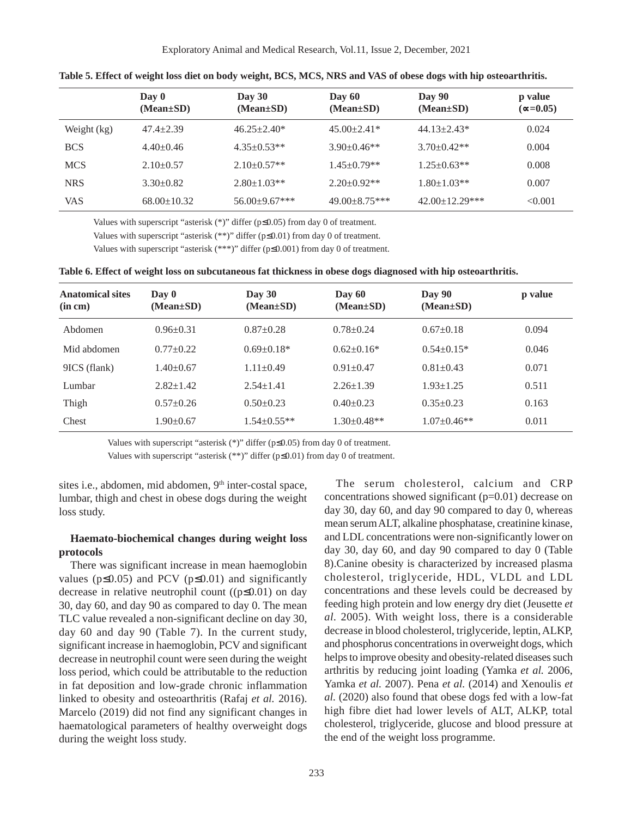|             | Day 0<br>$(Mean \pm SD)$ | Day $30$<br>$(Mean \pm SD)$ | Day $60$<br>$(Mean \pm SD)$ | Day 90<br>$(Mean \pm SD)$ | p value<br>$(\infty = 0.05)$ |
|-------------|--------------------------|-----------------------------|-----------------------------|---------------------------|------------------------------|
| Weight (kg) | $47.4 + 2.39$            | $46.25 \pm 2.40^*$          | $45.00 \pm 2.41*$           | $44.13 + 2.43*$           | 0.024                        |
| <b>BCS</b>  | $4.40 \pm 0.46$          | $4.35 \pm 0.53**$           | $3.90 \pm 0.46$ **          | $3.70 \pm 0.42**$         | 0.004                        |
| <b>MCS</b>  | $2.10+0.57$              | $2.10\pm0.57**$             | $1.45 \pm 0.79**$           | $1.25 \pm 0.63**$         | 0.008                        |
| <b>NRS</b>  | $3.30\pm0.82$            | $2.80 + 1.03**$             | $2.20 \pm 0.92**$           | $1.80 + 1.03**$           | 0.007                        |
| <b>VAS</b>  | $68.00 \pm 10.32$        | $56.00 \pm 9.67$ ***        | $49.00 + 8.75$ ***          | $42.00 \pm 12.29$ ***     | < 0.001                      |

**Table 5. Effect of weight loss diet on body weight, BCS, MCS, NRS and VAS of obese dogs with hip osteoarthritis.**

Values with superscript "asterisk (\*)" differ (p≤0.05) from day 0 of treatment.

Values with superscript "asterisk (\*\*)" differ (p≤0.01) from day 0 of treatment.

Values with superscript "asterisk (\*\*\*)" differ (p≤0.001) from day 0 of treatment.

| Table 6. Effect of weight loss on subcutaneous fat thickness in obese dogs diagnosed with hip osteoarthritis. |  |  |  |  |
|---------------------------------------------------------------------------------------------------------------|--|--|--|--|
|                                                                                                               |  |  |  |  |

| <b>Anatomical sites</b><br>(in cm) | $\bf{D}$ av $\bf{0}$<br>$(Mean \pm SD)$ | Day $30$<br>$(Mean \pm SD)$ | Day $60$<br>$(Mean \pm SD)$ | Day 90<br>$(Mean \pm SD)$ | p value |
|------------------------------------|-----------------------------------------|-----------------------------|-----------------------------|---------------------------|---------|
| Abdomen                            | $0.96 \pm 0.31$                         | $0.87 \pm 0.28$             | $0.78 \pm 0.24$             | $0.67+0.18$               | 0.094   |
| Mid abdomen                        | $0.77+0.22$                             | $0.69 \pm 0.18*$            | $0.62+0.16*$                | $0.54+0.15*$              | 0.046   |
| 9ICS (flank)                       | $1.40+0.67$                             | $1.11 \pm 0.49$             | $0.91 \pm 0.47$             | $0.81 \pm 0.43$           | 0.071   |
| Lumbar                             | $2.82 \pm 1.42$                         | $2.54 \pm 1.41$             | $2.26 \pm 1.39$             | $1.93 \pm 1.25$           | 0.511   |
| Thigh                              | $0.57 \pm 0.26$                         | $0.50+0.23$                 | $0.40 \pm 0.23$             | $0.35+0.23$               | 0.163   |
| Chest                              | $1.90+0.67$                             | $1.54 \pm 0.55**$           | $1.30 \pm 0.48**$           | $1.07 \pm 0.46**$         | 0.011   |

Values with superscript "asterisk (\*)" differ (p≤0.05) from day 0 of treatment.

Values with superscript "asterisk (\*\*)" differ (p≤0.01) from day 0 of treatment.

sites i.e., abdomen, mid abdomen, 9<sup>th</sup> inter-costal space, lumbar, thigh and chest in obese dogs during the weight loss study.

# **Haemato-biochemical changes during weight loss protocols**

There was significant increase in mean haemoglobin values ( $p \le 0.05$ ) and PCV ( $p \le 0.01$ ) and significantly decrease in relative neutrophil count ( $(p \le 0.01)$ ) on day 30, day 60, and day 90 as compared to day 0. The mean TLC value revealed a non-significant decline on day 30, day 60 and day 90 (Table 7). In the current study, significant increase in haemoglobin, PCV and significant decrease in neutrophil count were seen during the weight loss period, which could be attributable to the reduction in fat deposition and low-grade chronic inflammation linked to obesity and osteoarthritis (Rafaj *et al.* 2016). Marcelo (2019) did not find any significant changes in haematological parameters of healthy overweight dogs during the weight loss study.

The serum cholesterol, calcium and CRP concentrations showed significant (p=0.01) decrease on day 30, day 60, and day 90 compared to day 0, whereas mean serum ALT, alkaline phosphatase, creatinine kinase, and LDL concentrations were non-significantly lower on day 30, day 60, and day 90 compared to day 0 (Table 8).Canine obesity is characterized by increased plasma cholesterol, triglyceride, HDL, VLDL and LDL concentrations and these levels could be decreased by feeding high protein and low energy dry diet (Jeusette *et al.* 2005). With weight loss, there is a considerable decrease in blood cholesterol, triglyceride, leptin, ALKP, and phosphorus concentrations in overweight dogs, which helps to improve obesity and obesity-related diseases such arthritis by reducing joint loading (Yamka *et al.* 2006, Yamka *et al.* 2007). Pena *et al.* (2014) and Xenoulis *et al.* (2020) also found that obese dogs fed with a low-fat high fibre diet had lower levels of ALT, ALKP, total cholesterol, triglyceride, glucose and blood pressure at the end of the weight loss programme.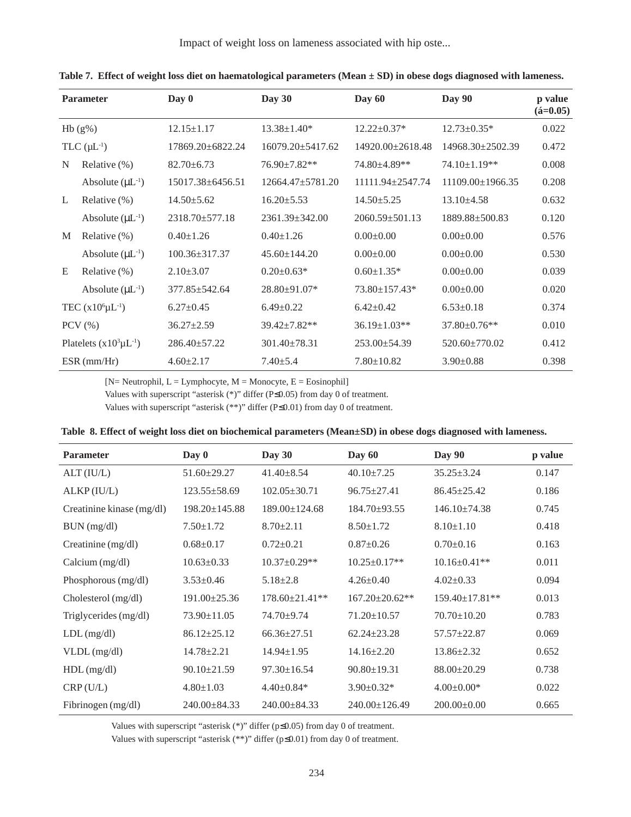Impact of weight loss on lameness associated with hip oste...

|   | <b>Parameter</b>                | Day 0                | Day 30                 | Day 60                 | <b>Day 90</b>          | p value<br>$({\rm \acute{a}}=0.05)$ |
|---|---------------------------------|----------------------|------------------------|------------------------|------------------------|-------------------------------------|
|   | $Hb(g\%)$                       | $12.15 \pm 1.17$     | $13.38 \pm 1.40*$      | $12.22 \pm 0.37*$      | $12.73 \pm 0.35*$      | 0.022                               |
|   | $TLC$ ( $\mu$ L <sup>-1</sup> ) | 17869.20±6822.24     | $16079.20 \pm 5417.62$ | $14920.00 \pm 2618.48$ | 14968.30±2502.39       | 0.472                               |
| N | Relative $(\%)$                 | $82.70 \pm 6.73$     | $76.90 \pm 7.82**$     | 74.80±4.89**           | $74.10 \pm 1.19$ **    | 0.008                               |
|   | Absolute $(\mu L^{-1})$         | 15017.38±6456.51     | $12664.47 \pm 5781.20$ | 11111.94±2547.74       | $11109.00 \pm 1966.35$ | 0.208                               |
| L | Relative $(\%)$                 | $14.50 \pm 5.62$     | $16.20 \pm 5.53$       | $14.50 \pm 5.25$       | $13.10\pm4.58$         | 0.632                               |
|   | Absolute $(\mu L^{-1})$         | $2318.70 \pm 577.18$ | $2361.39 \pm 342.00$   | $2060.59 \pm 501.13$   | 1889.88±500.83         | 0.120                               |
| M | Relative $(\% )$                | $0.40 \pm 1.26$      | $0.40 \pm 1.26$        | $0.00 \pm 0.00$        | $0.00 \pm 0.00$        | 0.576                               |
|   | Absolute $(\mu L^{-1})$         | $100.36 \pm 317.37$  | $45.60 \pm 144.20$     | $0.00 \pm 0.00$        | $0.00 \pm 0.00$        | 0.530                               |
| E | Relative $(\%)$                 | $2.10\pm3.07$        | $0.20 \pm 0.63*$       | $0.60 \pm 1.35$ *      | $0.00 \pm 0.00$        | 0.039                               |
|   | Absolute $(\mu L^{-1})$         | $377.85 \pm 542.64$  | $28.80 \pm 91.07$ *    | 73.80±157.43*          | $0.00 \pm 0.00$        | 0.020                               |
|   | TEC $(x10^6 \mu L^{-1})$        | $6.27 \pm 0.45$      | $6.49 \pm 0.22$        | $6.42 \pm 0.42$        | $6.53 \pm 0.18$        | 0.374                               |
|   | $PCV$ $(\% )$                   | $36.27 \pm 2.59$     | $39.42 \pm 7.82**$     | $36.19 \pm 1.03**$     | $37.80 \pm 0.76$ **    | 0.010                               |
|   | Platelets $(x10^3 \mu L^{-1})$  | $286.40 \pm 57.22$   | $301.40 \pm 78.31$     | $253.00 \pm 54.39$     | $520.60 \pm 770.02$    | 0.412                               |
|   | $ESR$ (mm/Hr)                   | $4.60 \pm 2.17$      | $7.40 \pm 5.4$         | $7.80 \pm 10.82$       | $3.90 \pm 0.88$        | 0.398                               |

**Table 7. Effect of weight loss diet on haematological parameters (Mean ± SD) in obese dogs diagnosed with lameness.**

 $[N=$  Neutrophil,  $L =$  Lymphocyte,  $M =$  Monocyte,  $E =$  Eosinophil]

Values with superscript "asterisk (\*)" differ (P≤0.05) from day 0 of treatment.

Values with superscript "asterisk (\*\*)" differ (P≤0.01) from day 0 of treatment.

| Table 8. Effect of weight loss diet on biochemical parameters (Mean±SD) in obese dogs diagnosed with lameness. |  |  |  |
|----------------------------------------------------------------------------------------------------------------|--|--|--|
|----------------------------------------------------------------------------------------------------------------|--|--|--|

| <b>Parameter</b>          | Day 0               | Day $30$              | Day 60               | Day 90                | p value |
|---------------------------|---------------------|-----------------------|----------------------|-----------------------|---------|
| ALT (IU/L)                | $51.60 \pm 29.27$   | $41.40 \pm 8.54$      | $40.10 \pm 7.25$     | $35.25 \pm 3.24$      | 0.147   |
| ALKP (IU/L)               | $123.55 \pm 58.69$  | $102.05 \pm 30.71$    | $96.75 \pm 27.41$    | $86.45 \pm 25.42$     | 0.186   |
| Creatinine kinase (mg/dl) | $198.20 \pm 145.88$ | $189.00 \pm 124.68$   | 184.70±93.55         | $146.10\pm 74.38$     | 0.745   |
| BUN (mg/dl)               | $7.50 \pm 1.72$     | $8.70 \pm 2.11$       | $8.50 \pm 1.72$      | $8.10 \pm 1.10$       | 0.418   |
| Creatinine (mg/dl)        | $0.68 \pm 0.17$     | $0.72 \pm 0.21$       | $0.87 \pm 0.26$      | $0.70 \pm 0.16$       | 0.163   |
| Calcium $(mg/dl)$         | $10.63 \pm 0.33$    | $10.37 \pm 0.29**$    | $10.25 \pm 0.17**$   | $10.16 \pm 0.41**$    | 0.011   |
| Phosphorous (mg/dl)       | $3.53 \pm 0.46$     | $5.18 \pm 2.8$        | $4.26 \pm 0.40$      | $4.02 \pm 0.33$       | 0.094   |
| Cholesterol (mg/dl)       | $191.00 \pm 25.36$  | $178.60 \pm 21.41$ ** | $167.20 \pm 20.62**$ | $159.40 \pm 17.81$ ** | 0.013   |
| Triglycerides (mg/dl)     | $73.90 \pm 11.05$   | 74.70±9.74            | $71.20 \pm 10.57$    | $70.70 \pm 10.20$     | 0.783   |
| $LDL$ (mg/dl)             | $86.12 \pm 25.12$   | $66.36 \pm 27.51$     | $62.24 \pm 23.28$    | $57.57 \pm 22.87$     | 0.069   |
| $VLDL$ (mg/dl)            | $14.78 \pm 2.21$    | $14.94 \pm 1.95$      | $14.16 \pm 2.20$     | $13.86 \pm 2.32$      | 0.652   |
| $HDL$ (mg/dl)             | $90.10 \pm 21.59$   | $97.30 \pm 16.54$     | $90.80 \pm 19.31$    | $88.00 \pm 20.29$     | 0.738   |
| CRP(U/L)                  | $4.80 \pm 1.03$     | $4.40 \pm 0.84*$      | $3.90 \pm 0.32*$     | $4.00 \pm 0.00*$      | 0.022   |
| Fibrinogen (mg/dl)        | $240.00 \pm 84.33$  | $240.00 \pm 84.33$    | 240.00±126.49        | $200.00 \pm 0.00$     | 0.665   |

Values with superscript "asterisk (\*)" differ (p≤0.05) from day 0 of treatment.

Values with superscript "asterisk (\*\*)" differ (p≤0.01) from day 0 of treatment.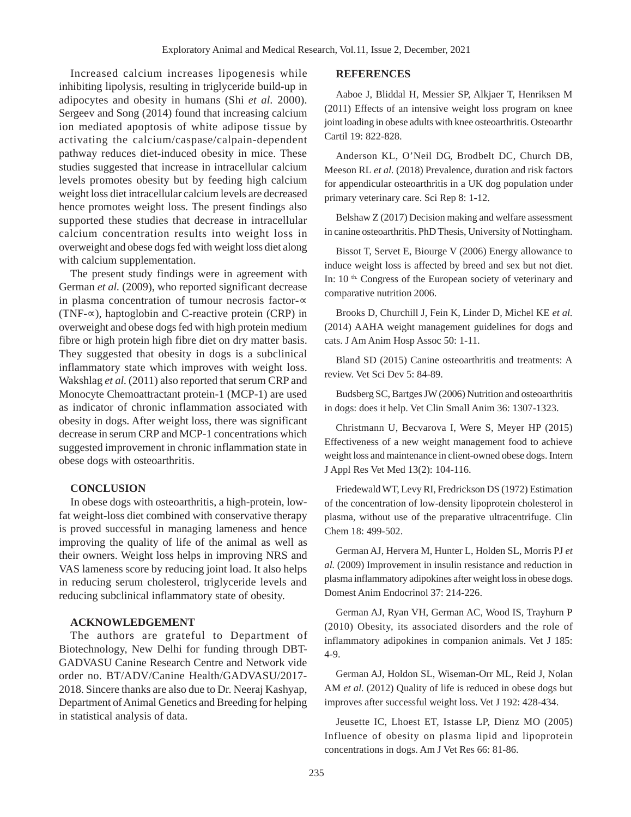Increased calcium increases lipogenesis while inhibiting lipolysis, resulting in triglyceride build-up in adipocytes and obesity in humans (Shi *et al.* 2000). Sergeev and Song (2014) found that increasing calcium ion mediated apoptosis of white adipose tissue by activating the calcium/caspase/calpain-dependent pathway reduces diet-induced obesity in mice. These studies suggested that increase in intracellular calcium levels promotes obesity but by feeding high calcium weight loss diet intracellular calcium levels are decreased hence promotes weight loss. The present findings also supported these studies that decrease in intracellular calcium concentration results into weight loss in overweight and obese dogs fed with weight loss diet along with calcium supplementation.

The present study findings were in agreement with German *et al.* (2009), who reported significant decrease in plasma concentration of tumour necrosis factor-∝ (TNF-∝), haptoglobin and C-reactive protein (CRP) in overweight and obese dogs fed with high protein medium fibre or high protein high fibre diet on dry matter basis. They suggested that obesity in dogs is a subclinical inflammatory state which improves with weight loss. Wakshlag *et al.* (2011) also reported that serum CRP and Monocyte Chemoattractant protein-1 (MCP-1) are used as indicator of chronic inflammation associated with obesity in dogs. After weight loss, there was significant decrease in serum CRP and MCP-1 concentrations which suggested improvement in chronic inflammation state in obese dogs with osteoarthritis.

## **CONCLUSION**

In obese dogs with osteoarthritis, a high-protein, lowfat weight-loss diet combined with conservative therapy is proved successful in managing lameness and hence improving the quality of life of the animal as well as their owners. Weight loss helps in improving NRS and VAS lameness score by reducing joint load. It also helps in reducing serum cholesterol, triglyceride levels and reducing subclinical inflammatory state of obesity.

#### **ACKNOWLEDGEMENT**

The authors are grateful to Department of Biotechnology, New Delhi for funding through DBT-GADVASU Canine Research Centre and Network vide order no. BT/ADV/Canine Health/GADVASU/2017- 2018. Sincere thanks are also due to Dr. Neeraj Kashyap, Department of Animal Genetics and Breeding for helping in statistical analysis of data.

#### **REFERENCES**

Aaboe J, Bliddal H, Messier SP, Alkjaer T, Henriksen M (2011) Effects of an intensive weight loss program on knee joint loading in obese adults with knee osteoarthritis. Osteoarthr Cartil 19: 822-828.

Anderson KL, O'Neil DG, Brodbelt DC, Church DB, Meeson RL *et al.* (2018) Prevalence, duration and risk factors for appendicular osteoarthritis in a UK dog population under primary veterinary care. Sci Rep 8: 1-12.

Belshaw Z (2017) Decision making and welfare assessment in canine osteoarthritis. PhD Thesis, University of Nottingham.

Bissot T, Servet E, Biourge V (2006) Energy allowance to induce weight loss is affected by breed and sex but not diet. In: 10<sup>th</sup>. Congress of the European society of veterinary and comparative nutrition 2006.

Brooks D, Churchill J, Fein K, Linder D, Michel KE *et al.* (2014) AAHA weight management guidelines for dogs and cats. J Am Anim Hosp Assoc 50: 1-11.

Bland SD (2015) Canine osteoarthritis and treatments: A review. Vet Sci Dev 5: 84-89.

Budsberg SC, Bartges JW (2006) Nutrition and osteoarthritis in dogs: does it help. Vet Clin Small Anim 36: 1307-1323.

Christmann U, Becvarova I, Were S, Meyer HP (2015) Effectiveness of a new weight management food to achieve weight loss and maintenance in client-owned obese dogs. Intern J Appl Res Vet Med 13(2): 104-116.

Friedewald WT, Levy RI, Fredrickson DS (1972) Estimation of the concentration of low-density lipoprotein cholesterol in plasma, without use of the preparative ultracentrifuge. Clin Chem 18: 499-502.

German AJ, Hervera M, Hunter L, Holden SL, Morris PJ *et al.* (2009) Improvement in insulin resistance and reduction in plasma inflammatory adipokines after weight loss in obese dogs. Domest Anim Endocrinol 37: 214-226.

German AJ, Ryan VH, German AC, Wood IS, Trayhurn P (2010) Obesity, its associated disorders and the role of inflammatory adipokines in companion animals. Vet J 185: 4-9.

German AJ, Holdon SL, Wiseman-Orr ML, Reid J, Nolan AM *et al.* (2012) Quality of life is reduced in obese dogs but improves after successful weight loss. Vet J 192: 428-434.

Jeusette IC, Lhoest ET, Istasse LP, Dienz MO (2005) Influence of obesity on plasma lipid and lipoprotein concentrations in dogs. Am J Vet Res 66: 81-86.